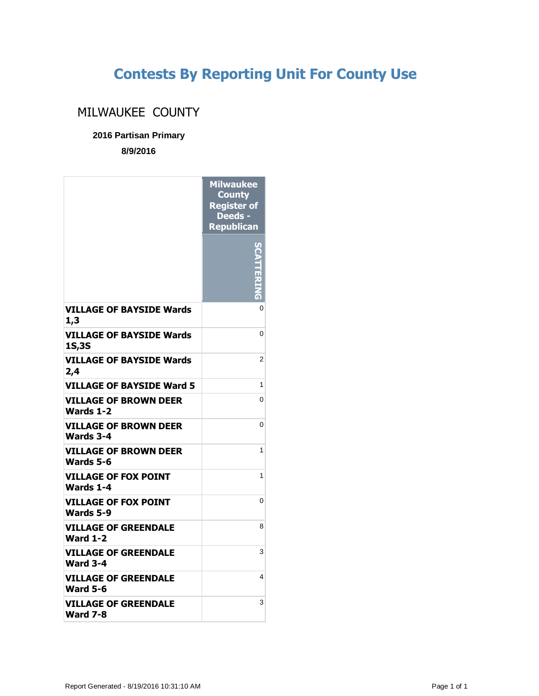## **Contests By Reporting Unit For County Use**

## MILWAUKEE COUNTY

## **2016 Partisan Primary**

**8/9/2016**

|                                                 | <b>Milwaukee</b><br><b>County</b><br><b>Register of</b><br>Deeds -<br><b>Republican</b> |
|-------------------------------------------------|-----------------------------------------------------------------------------------------|
|                                                 | $\frac{1}{2}$                                                                           |
| <b>VILLAGE OF BAYSIDE Wards</b><br>1,3          | 0                                                                                       |
| <b>VILLAGE OF BAYSIDE Wards</b><br><b>1S,3S</b> | 0                                                                                       |
| <b>VILLAGE OF BAYSIDE Wards</b><br>2,4          | $\overline{2}$                                                                          |
| VILLAGE OF BAYSIDE Ward 5                       | 1                                                                                       |
| <b>VILLAGE OF BROWN DEER</b><br>Wards 1-2       | 0                                                                                       |
| <b>VILLAGE OF BROWN DEER</b><br>Wards 3-4       | 0                                                                                       |
| <b>VILLAGE OF BROWN DEER</b><br>Wards 5-6       | 1                                                                                       |
| <b>VILLAGE OF FOX POINT</b><br>Wards 1-4        | 1                                                                                       |
| <b>VILLAGE OF FOX POINT</b><br>Wards 5-9        | 0                                                                                       |
| VILLAGE OF GREENDALE<br><b>Ward 1-2</b>         | 8                                                                                       |
| VILLAGE OF GREENDALE<br><b>Ward 3-4</b>         | 3                                                                                       |
| <b>VILLAGE OF GREENDALE</b><br><b>Ward 5-6</b>  | 4                                                                                       |
| <b>VILLAGE OF GREENDALE</b><br><b>Ward 7-8</b>  | 3                                                                                       |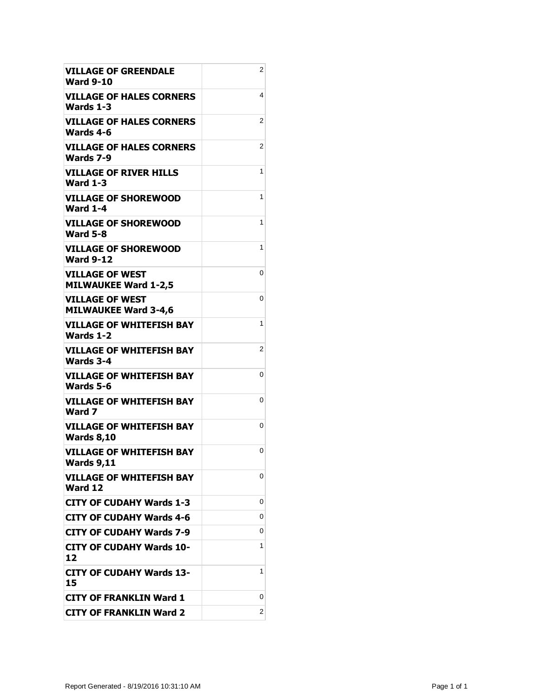| <b>VILLAGE OF GREENDALE</b><br><b>Ward 9-10</b>       | 2 |
|-------------------------------------------------------|---|
| <b>VILLAGE OF HALES CORNERS</b><br>Wards 1-3          | 4 |
| <b>VILLAGE OF HALES CORNERS</b><br>Wards 4-6          | 2 |
| <b>VILLAGE OF HALES CORNERS</b><br>Wards 7-9          | 2 |
| <b>VILLAGE OF RIVER HILLS</b><br><b>Ward 1-3</b>      | 1 |
| <b>VILLAGE OF SHOREWOOD</b><br><b>Ward 1-4</b>        | 1 |
| <b>VILLAGE OF SHOREWOOD</b><br><b>Ward 5-8</b>        | 1 |
| <b>VILLAGE OF SHOREWOOD</b><br><b>Ward 9-12</b>       | 1 |
| <b>VILLAGE OF WEST</b><br><b>MILWAUKEE Ward 1-2,5</b> | 0 |
| <b>VILLAGE OF WEST</b><br><b>MILWAUKEE Ward 3-4,6</b> | 0 |
| <b>VILLAGE OF WHITEFISH BAY</b><br>Wards 1-2          | 1 |
| VILLAGE OF WHITEFISH BAY<br>Wards 3-4                 | 2 |
| VILLAGE OF WHITEFISH BAY<br>Wards 5-6                 | 0 |
| VILLAGE OF WHITEFISH BAY<br>Ward 7                    | 0 |
| <b>VILLAGE OF WHITEFISH BAY</b><br><b>Wards 8,10</b>  | 0 |
| <b>VILLAGE OF WHITEFISH BAY</b><br><b>Wards 9,11</b>  | 0 |
| <b>VILLAGE OF WHITEFISH BAY</b><br>Ward 12            | 0 |
| <b>CITY OF CUDAHY Wards 1-3</b>                       | 0 |
| CITY OF CUDAHY Wards 4-6                              | 0 |
| <b>CITY OF CUDAHY Wards 7-9</b>                       | 0 |
| <b>CITY OF CUDAHY Wards 10-</b><br>12                 | 1 |
| <b>CITY OF CUDAHY Wards 13-</b><br>15                 | 1 |
| <b>CITY OF FRANKLIN Ward 1</b>                        | 0 |
| <b>CITY OF FRANKLIN Ward 2</b>                        | 2 |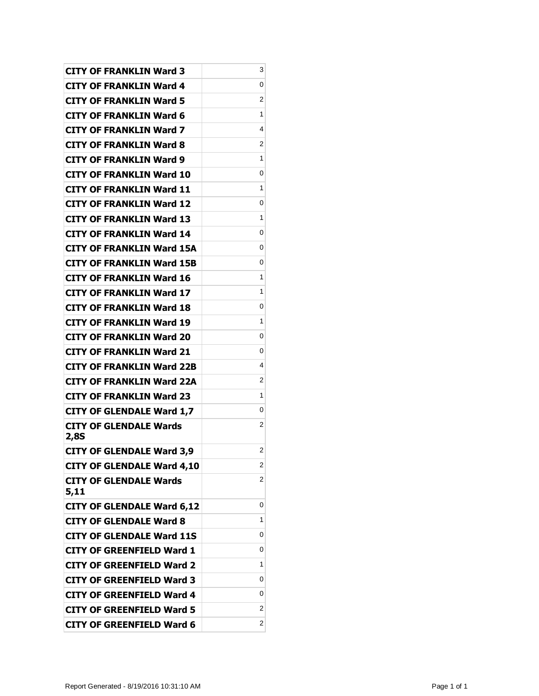| CITY OF FRANKLIN Ward 3               | 3 |
|---------------------------------------|---|
| CITY OF FRANKLIN Ward 4               | 0 |
| CITY OF FRANKLIN Ward 5               | 2 |
| <b>CITY OF FRANKLIN Ward 6</b>        | 1 |
| <b>CITY OF FRANKLIN Ward 7</b>        | 4 |
| CITY OF FRANKLIN Ward 8               | 2 |
| CITY OF FRANKLIN Ward 9               | 1 |
| CITY OF FRANKLIN Ward 10              | 0 |
| <b>CITY OF FRANKLIN Ward 11</b>       | 1 |
| <b>CITY OF FRANKLIN Ward 12</b>       | 0 |
| CITY OF FRANKLIN Ward 13              | 1 |
| CITY OF FRANKLIN Ward 14              | 0 |
| CITY OF FRANKLIN Ward 15A             | 0 |
| <b>CITY OF FRANKLIN Ward 15B</b>      | 0 |
| CITY OF FRANKLIN Ward 16              | 1 |
| <b>CITY OF FRANKLIN Ward 17</b>       | 1 |
| CITY OF FRANKLIN Ward 18              | 0 |
| CITY OF FRANKLIN Ward 19              | 1 |
| CITY OF FRANKLIN Ward 20              | 0 |
| CITY OF FRANKLIN Ward 21              | 0 |
| <b>CITY OF FRANKLIN Ward 22B</b>      | 4 |
| CITY OF FRANKLIN Ward 22A             | 2 |
| CITY OF FRANKLIN Ward 23              | 1 |
| <b>CITY OF GLENDALE Ward 1,7</b>      | 0 |
| CITY OF GLENDALE Wards<br>2,8S        | 2 |
| <b>CITY OF GLENDALE Ward 3,9</b>      | 2 |
| <b>CITY OF GLENDALE Ward 4,10</b>     | 2 |
| <b>CITY OF GLENDALE Wards</b><br>5,11 | 2 |
| <b>CITY OF GLENDALE Ward 6,12</b>     | 0 |
| <b>CITY OF GLENDALE Ward 8</b>        | 1 |
| <b>CITY OF GLENDALE Ward 11S</b>      | 0 |
| <b>CITY OF GREENFIELD Ward 1</b>      | 0 |
| <b>CITY OF GREENFIELD Ward 2</b>      | 1 |
| <b>CITY OF GREENFIELD Ward 3</b>      | 0 |
| <b>CITY OF GREENFIELD Ward 4</b>      | 0 |
| <b>CITY OF GREENFIELD Ward 5</b>      | 2 |
| <b>CITY OF GREENFIELD Ward 6</b>      | 2 |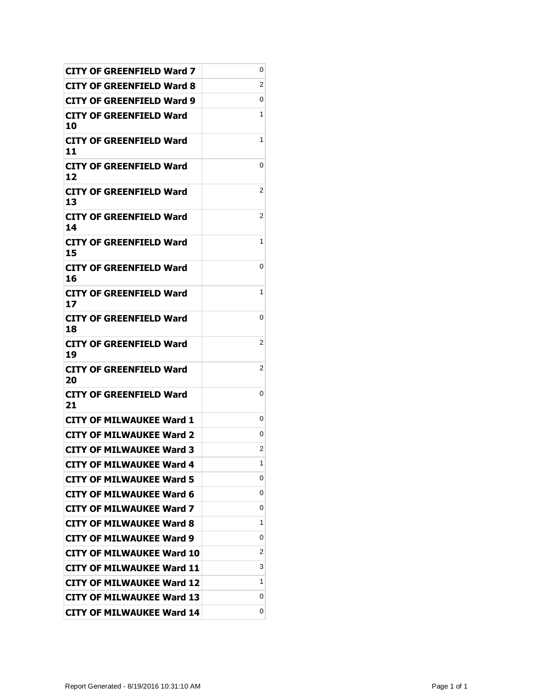| <b>CITY OF GREENFIELD Ward 7</b>     | 0 |
|--------------------------------------|---|
| CITY OF GREENFIELD Ward 8            | 2 |
| CITY OF GREENFIELD Ward 9            | 0 |
| <b>CITY OF GREENFIELD Ward</b><br>10 | 1 |
| CITY OF GREENFIELD Ward<br>11        | 1 |
| <b>CITY OF GREENFIELD Ward</b><br>12 | 0 |
| CITY OF GREENFIELD Ward<br>13        | 2 |
| CITY OF GREENFIELD Ward<br>14        | 2 |
| CITY OF GREENFIELD Ward<br>15        | 1 |
| <b>CITY OF GREENFIELD Ward</b><br>16 | 0 |
| <b>CITY OF GREENFIELD Ward</b><br>17 | 1 |
| CITY OF GREENFIELD Ward<br>18        | 0 |
| CITY OF GREENFIELD Ward<br>19        | 2 |
| CITY OF GREENFIELD Ward<br>20        | 2 |
| <b>CITY OF GREENFIELD Ward</b><br>21 | 0 |
| <b>CITY OF MILWAUKEE Ward 1</b>      | 0 |
| <b>CITY OF MILWAUKEE Ward 2</b>      | 0 |
| <b>CITY OF MILWAUKEE Ward 3</b>      | 2 |
| <b>CITY OF MILWAUKEE Ward 4</b>      | 1 |
| <b>CITY OF MILWAUKEE Ward 5</b>      | 0 |
| <b>CITY OF MILWAUKEE Ward 6</b>      | 0 |
| <b>CITY OF MILWAUKEE Ward 7</b>      | 0 |
| <b>CITY OF MILWAUKEE Ward 8</b>      | 1 |
| CITY OF MILWAUKEE Ward 9             | 0 |
| <b>CITY OF MILWAUKEE Ward 10</b>     | 2 |
| <b>CITY OF MILWAUKEE Ward 11</b>     | 3 |
| <b>CITY OF MILWAUKEE Ward 12</b>     | 1 |
| <b>CITY OF MILWAUKEE Ward 13</b>     | 0 |
| <b>CITY OF MILWAUKEE Ward 14</b>     | 0 |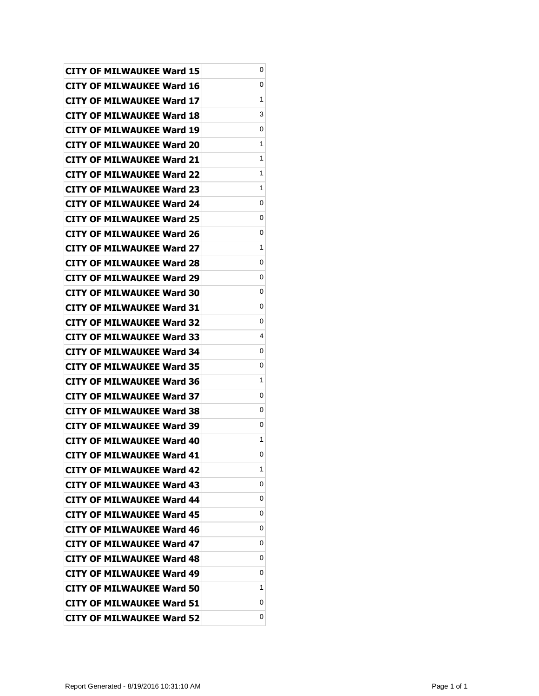| <b>CITY OF MILWAUKEE Ward 15</b> | 0 |
|----------------------------------|---|
| CITY OF MILWAUKEE Ward 16        | 0 |
| CITY OF MILWAUKEE Ward 17        | 1 |
| CITY OF MILWAUKEE Ward 18        | 3 |
| <b>CITY OF MILWAUKEE Ward 19</b> | 0 |
| <b>CITY OF MILWAUKEE Ward 20</b> | 1 |
| <b>CITY OF MILWAUKEE Ward 21</b> | 1 |
| <b>CITY OF MILWAUKEE Ward 22</b> | 1 |
| CITY OF MILWAUKEE Ward 23        | 1 |
| <b>CITY OF MILWAUKEE Ward 24</b> | 0 |
| CITY OF MILWAUKEE Ward 25        | 0 |
| CITY OF MILWAUKEE Ward 26        | 0 |
| <b>CITY OF MILWAUKEE Ward 27</b> | 1 |
| <b>CITY OF MILWAUKEE Ward 28</b> | 0 |
| <b>CITY OF MILWAUKEE Ward 29</b> | 0 |
| <b>CITY OF MILWAUKEE Ward 30</b> | 0 |
| CITY OF MILWAUKEE Ward 31        | 0 |
| <b>CITY OF MILWAUKEE Ward 32</b> | 0 |
| <b>CITY OF MILWAUKEE Ward 33</b> | 4 |
| <b>CITY OF MILWAUKEE Ward 34</b> | 0 |
| <b>CITY OF MILWAUKEE Ward 35</b> | 0 |
| CITY OF MILWAUKEE Ward 36        | 1 |
| <b>CITY OF MILWAUKEE Ward 37</b> | 0 |
| <b>CITY OF MILWAUKEE Ward 38</b> | 0 |
| <b>CITY OF MILWAUKEE Ward 39</b> | 0 |
| <b>CITY OF MILWAUKEE Ward 40</b> | 1 |
| <b>CITY OF MILWAUKEE Ward 41</b> | 0 |
| <b>CITY OF MILWAUKEE Ward 42</b> | 1 |
| <b>CITY OF MILWAUKEE Ward 43</b> | 0 |
| <b>CITY OF MILWAUKEE Ward 44</b> | 0 |
| <b>CITY OF MILWAUKEE Ward 45</b> | 0 |
| <b>CITY OF MILWAUKEE Ward 46</b> | 0 |
| <b>CITY OF MILWAUKEE Ward 47</b> | 0 |
| <b>CITY OF MILWAUKEE Ward 48</b> | 0 |
| CITY OF MILWAUKEE Ward 49        | 0 |
| CITY OF MILWAUKEE Ward 50        | 1 |
| <b>CITY OF MILWAUKEE Ward 51</b> | 0 |
| <b>CITY OF MILWAUKEE Ward 52</b> | 0 |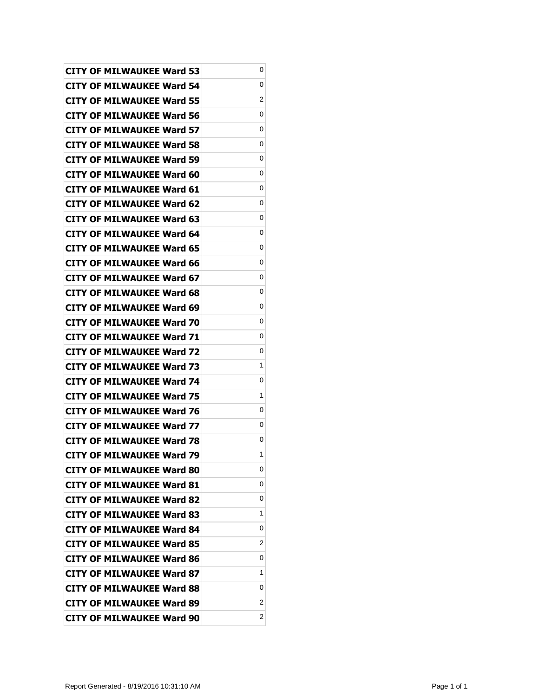| <b>CITY OF MILWAUKEE Ward 53</b> | 0 |
|----------------------------------|---|
| <b>CITY OF MILWAUKEE Ward 54</b> | 0 |
| <b>CITY OF MILWAUKEE Ward 55</b> | 2 |
| <b>CITY OF MILWAUKEE Ward 56</b> | 0 |
| <b>CITY OF MILWAUKEE Ward 57</b> | 0 |
| CITY OF MILWAUKEE Ward 58        | 0 |
| <b>CITY OF MILWAUKEE Ward 59</b> | 0 |
| CITY OF MILWAUKEE Ward 60        | 0 |
| <b>CITY OF MILWAUKEE Ward 61</b> | 0 |
| <b>CITY OF MILWAUKEE Ward 62</b> | 0 |
| CITY OF MILWAUKEE Ward 63        | 0 |
| CITY OF MILWAUKEE Ward 64        | 0 |
| <b>CITY OF MILWAUKEE Ward 65</b> | 0 |
| <b>CITY OF MILWAUKEE Ward 66</b> | 0 |
| <b>CITY OF MILWAUKEE Ward 67</b> | 0 |
| <b>CITY OF MILWAUKEE Ward 68</b> | 0 |
| <b>CITY OF MILWAUKEE Ward 69</b> | 0 |
| CITY OF MILWAUKEE Ward 70        | 0 |
| <b>CITY OF MILWAUKEE Ward 71</b> | 0 |
| <b>CITY OF MILWAUKEE Ward 72</b> | 0 |
| <b>CITY OF MILWAUKEE Ward 73</b> | 1 |
| <b>CITY OF MILWAUKEE Ward 74</b> | 0 |
| <b>CITY OF MILWAUKEE Ward 75</b> | 1 |
| <b>CITY OF MILWAUKEE Ward 76</b> | 0 |
| <b>CITY OF MILWAUKEE Ward 77</b> | 0 |
| <b>CITY OF MILWAUKEE Ward 78</b> | 0 |
| <b>CITY OF MILWAUKEE Ward 79</b> | 1 |
| <b>CITY OF MILWAUKEE Ward 80</b> | 0 |
| <b>CITY OF MILWAUKEE Ward 81</b> | 0 |
| <b>CITY OF MILWAUKEE Ward 82</b> | 0 |
| <b>CITY OF MILWAUKEE Ward 83</b> | 1 |
| <b>CITY OF MILWAUKEE Ward 84</b> | 0 |
| <b>CITY OF MILWAUKEE Ward 85</b> | 2 |
| <b>CITY OF MILWAUKEE Ward 86</b> | 0 |
| CITY OF MILWAUKEE Ward 87        | 1 |
| CITY OF MILWAUKEE Ward 88        | 0 |
| CITY OF MILWAUKEE Ward 89        | 2 |
| <b>CITY OF MILWAUKEE Ward 90</b> | 2 |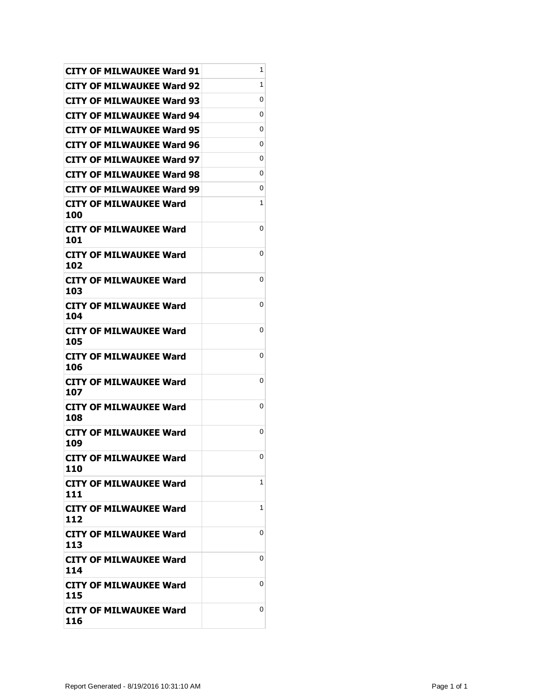| <b>CITY OF MILWAUKEE Ward 91</b>     | 1 |
|--------------------------------------|---|
| CITY OF MILWAUKEE Ward 92            | 1 |
| <b>CITY OF MILWAUKEE Ward 93</b>     | 0 |
| <b>CITY OF MILWAUKEE Ward 94</b>     | 0 |
| <b>CITY OF MILWAUKEE Ward 95</b>     | 0 |
| CITY OF MILWAUKEE Ward 96            | 0 |
| CITY OF MILWAUKEE Ward 97            | 0 |
| <b>CITY OF MILWAUKEE Ward 98</b>     | 0 |
| <b>CITY OF MILWAUKEE Ward 99</b>     | 0 |
| <b>CITY OF MILWAUKEE Ward</b><br>100 | 1 |
| <b>CITY OF MILWAUKEE Ward</b><br>101 | 0 |
| <b>CITY OF MILWAUKEE Ward</b><br>102 | 0 |
| <b>CITY OF MILWAUKEE Ward</b><br>103 | 0 |
| <b>CITY OF MILWAUKEE Ward</b><br>104 | 0 |
| <b>CITY OF MILWAUKEE Ward</b><br>105 | 0 |
| <b>CITY OF MILWAUKEE Ward</b><br>106 | 0 |
| <b>CITY OF MILWAUKEE Ward</b><br>107 | 0 |
| <b>CITY OF MILWAUKEE Ward</b><br>108 | 0 |
| <b>CITY OF MILWAUKEE Ward</b><br>109 | 0 |
| <b>CITY OF MILWAUKEE Ward</b><br>110 | 0 |
| CITY OF MILWAUKEE Ward<br>111        | 1 |
| <b>CITY OF MILWAUKEE Ward</b><br>112 | 1 |
| CITY OF MILWAUKEE Ward<br>113        | 0 |
| <b>CITY OF MILWAUKEE Ward</b><br>114 | 0 |
| <b>CITY OF MILWAUKEE Ward</b><br>115 | 0 |
| <b>CITY OF MILWAUKEE Ward</b><br>116 | 0 |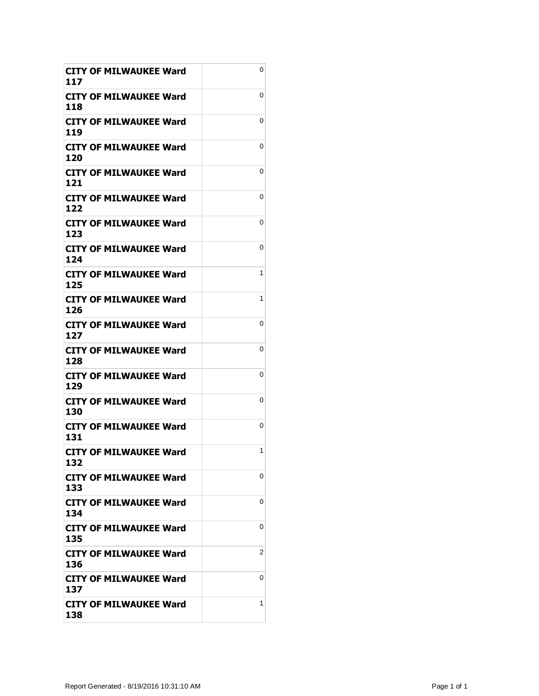| CITY OF MILWAUKEE Ward<br>117        | 0 |
|--------------------------------------|---|
| CITY OF MILWAUKEE Ward<br>118        | 0 |
| <b>CITY OF MILWAUKEE Ward</b><br>119 | 0 |
| <b>CITY OF MILWAUKEE Ward</b><br>120 | 0 |
| CITY OF MILWAUKEE Ward<br>121        | 0 |
| <b>CITY OF MILWAUKEE Ward</b><br>122 | 0 |
| <b>CITY OF MILWAUKEE Ward</b><br>123 | 0 |
| <b>CITY OF MILWAUKEE Ward</b><br>124 | 0 |
| CITY OF MILWAUKEE Ward<br>125        | 1 |
| <b>CITY OF MILWAUKEE Ward</b><br>126 | 1 |
| <b>CITY OF MILWAUKEE Ward</b><br>127 | 0 |
| CITY OF MILWAUKEE Ward<br>128        | 0 |
| <b>CITY OF MILWAUKEE Ward</b><br>129 | 0 |
| <b>CITY OF MILWAUKEE Ward</b><br>130 | 0 |
| <b>CITY OF MILWAUKEE Ward</b><br>131 | 0 |
| <b>CITY OF MILWAUKEE Ward</b><br>132 | 1 |
| CITY OF MILWAUKEE Ward<br>133        | 0 |
| <b>CITY OF MILWAUKEE Ward</b><br>134 | 0 |
| <b>CITY OF MILWAUKEE Ward</b><br>135 | 0 |
| CITY OF MILWAUKEE Ward<br>136        | 2 |
| <b>CITY OF MILWAUKEE Ward</b><br>137 | 0 |
| <b>CITY OF MILWAUKEE Ward</b><br>138 | 1 |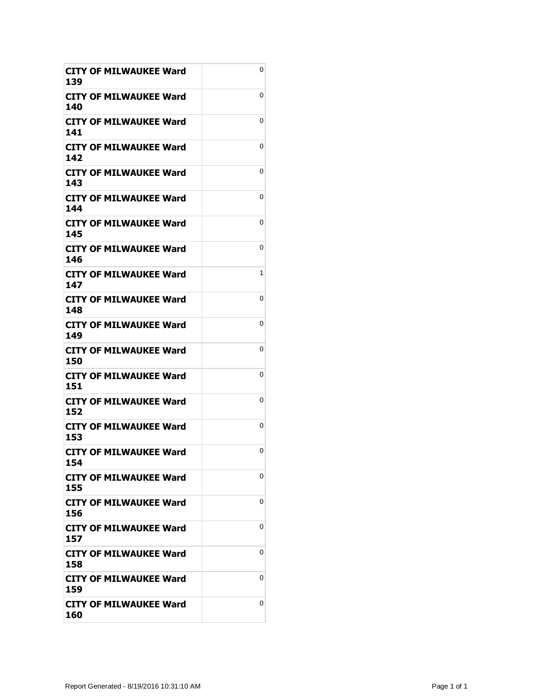| <b>CITY OF MILWAUKEE Ward</b><br>139 | 0 |
|--------------------------------------|---|
| <b>CITY OF MILWAUKEE Ward</b><br>140 | 0 |
| CITY OF MILWAUKEE Ward<br>141        | 0 |
| <b>CITY OF MILWAUKEE Ward</b><br>142 | 0 |
| <b>CITY OF MILWAUKEE Ward</b><br>143 | 0 |
| <b>CITY OF MILWAUKEE Ward</b><br>144 | 0 |
| CITY OF MILWAUKEE Ward<br>145        | 0 |
| <b>CITY OF MILWAUKEE Ward</b><br>146 | 0 |
| CITY OF MILWAUKEE Ward<br>147        | 1 |
| <b>CITY OF MILWAUKEE Ward</b><br>148 | 0 |
| <b>CITY OF MILWAUKEE Ward</b><br>149 | 0 |
| <b>CITY OF MILWAUKEE Ward</b><br>150 | 0 |
| <b>CITY OF MILWAUKEE Ward</b><br>151 | 0 |
| CITY OF MILWAUKEE Ward<br>152        | 0 |
| <b>CITY OF MILWAUKEE Ward</b><br>153 | 0 |
| <b>CITY OF MILWAUKEE Ward</b><br>154 | 0 |
| CITY OF MILWAUKEE Ward<br>155        | 0 |
| CITY OF MILWAUKEE Ward<br>156        | 0 |
| <b>CITY OF MILWAUKEE Ward</b><br>157 | 0 |
| <b>CITY OF MILWAUKEE Ward</b><br>158 | 0 |
| CITY OF MILWAUKEE Ward<br>159        | 0 |
| <b>CITY OF MILWAUKEE Ward</b><br>160 | 0 |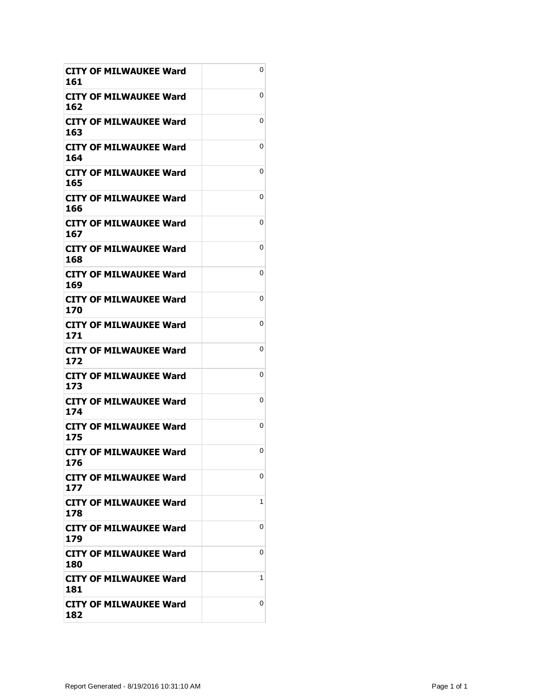| <b>CITY OF MILWAUKEE Ward</b><br>161 | 0 |
|--------------------------------------|---|
| <b>CITY OF MILWAUKEE Ward</b><br>162 | 0 |
| CITY OF MILWAUKEE Ward<br>163        | 0 |
| <b>CITY OF MILWAUKEE Ward</b><br>164 | 0 |
| <b>CITY OF MILWAUKEE Ward</b><br>165 | 0 |
| <b>CITY OF MILWAUKEE Ward</b><br>166 | 0 |
| CITY OF MILWAUKEE Ward<br>167        | 0 |
| <b>CITY OF MILWAUKEE Ward</b><br>168 | 0 |
| <b>CITY OF MILWAUKEE Ward</b><br>169 | 0 |
| CITY OF MILWAUKEE Ward<br>170        | 0 |
| <b>CITY OF MILWAUKEE Ward</b><br>171 | 0 |
| <b>CITY OF MILWAUKEE Ward</b><br>172 | 0 |
| <b>CITY OF MILWAUKEE Ward</b><br>173 | 0 |
| CITY OF MILWAUKEE Ward<br>174        | 0 |
| <b>CITY OF MILWAUKEE Ward</b><br>175 | 0 |
| <b>CITY OF MILWAUKEE Ward</b><br>176 | 0 |
| CITY OF MILWAUKEE Ward<br>177        | 0 |
| CITY OF MILWAUKEE Ward<br>178        | 1 |
| <b>CITY OF MILWAUKEE Ward</b><br>179 | 0 |
| <b>CITY OF MILWAUKEE Ward</b><br>180 | 0 |
| CITY OF MILWAUKEE Ward<br>181        | 1 |
| <b>CITY OF MILWAUKEE Ward</b><br>182 | 0 |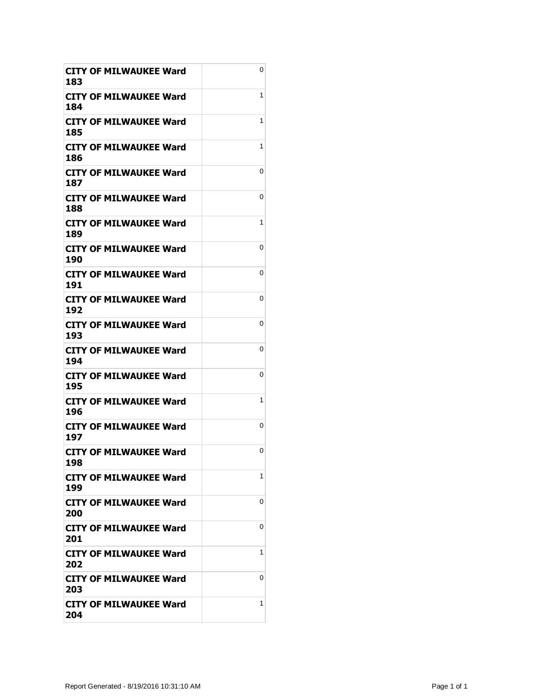| <b>CITY OF MILWAUKEE Ward</b><br>183 | 0 |
|--------------------------------------|---|
| CITY OF MILWAUKEE Ward<br>184        | 1 |
| <b>CITY OF MILWAUKEE Ward</b><br>185 | 1 |
| <b>CITY OF MILWAUKEE Ward</b><br>186 | 1 |
| <b>CITY OF MILWAUKEE Ward</b><br>187 | 0 |
| <b>CITY OF MILWAUKEE Ward</b><br>188 | 0 |
| CITY OF MILWAUKEE Ward<br>189        | 1 |
| <b>CITY OF MILWAUKEE Ward</b><br>190 | 0 |
| <b>CITY OF MILWAUKEE Ward</b><br>191 | 0 |
| <b>CITY OF MILWAUKEE Ward</b><br>192 | 0 |
| <b>CITY OF MILWAUKEE Ward</b><br>193 | 0 |
| <b>CITY OF MILWAUKEE Ward</b><br>194 | 0 |
| <b>CITY OF MILWAUKEE Ward</b><br>195 | 0 |
| CITY OF MILWAUKEE Ward<br>196        | 1 |
| <b>CITY OF MILWAUKEE Ward</b><br>197 | 0 |
| <b>CITY OF MILWAUKEE Ward</b><br>198 | 0 |
| CITY OF MILWAUKEE Ward<br>199        | 1 |
| CITY OF MILWAUKEE Ward<br>200        | 0 |
| <b>CITY OF MILWAUKEE Ward</b><br>201 | 0 |
| <b>CITY OF MILWAUKEE Ward</b><br>202 | 1 |
| <b>CITY OF MILWAUKEE Ward</b><br>203 | 0 |
| <b>CITY OF MILWAUKEE Ward</b><br>204 | 1 |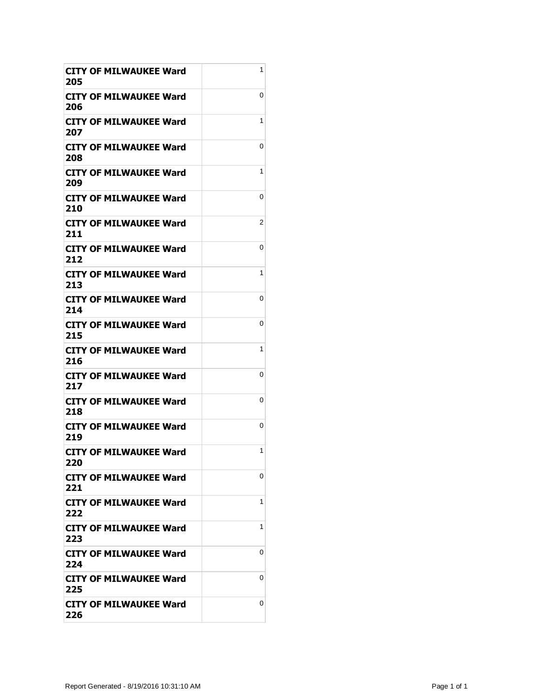| <b>CITY OF MILWAUKEE Ward</b><br>205 | 1 |
|--------------------------------------|---|
| <b>CITY OF MILWAUKEE Ward</b><br>206 | 0 |
| CITY OF MILWAUKEE Ward<br>207        | 1 |
| <b>CITY OF MILWAUKEE Ward</b><br>208 | 0 |
| <b>CITY OF MILWAUKEE Ward</b><br>209 | 1 |
| <b>CITY OF MILWAUKEE Ward</b><br>210 | 0 |
| CITY OF MILWAUKEE Ward<br>211        | 2 |
| <b>CITY OF MILWAUKEE Ward</b><br>212 | 0 |
| <b>CITY OF MILWAUKEE Ward</b><br>213 | 1 |
| CITY OF MILWAUKEE Ward<br>214        | 0 |
| <b>CITY OF MILWAUKEE Ward</b><br>215 | 0 |
| <b>CITY OF MILWAUKEE Ward</b><br>216 | 1 |
| <b>CITY OF MILWAUKEE Ward</b><br>217 | 0 |
| CITY OF MILWAUKEE Ward<br>218        | 0 |
| <b>CITY OF MILWAUKEE Ward</b><br>219 | 0 |
| <b>CITY OF MILWAUKEE Ward</b><br>220 | 1 |
| CITY OF MILWAUKEE Ward<br>221        | 0 |
| CITY OF MILWAUKEE Ward<br>222        | 1 |
| <b>CITY OF MILWAUKEE Ward</b><br>223 | 1 |
| <b>CITY OF MILWAUKEE Ward</b><br>224 | 0 |
| CITY OF MILWAUKEE Ward<br>225        | 0 |
| CITY OF MILWAUKEE Ward<br>226        | 0 |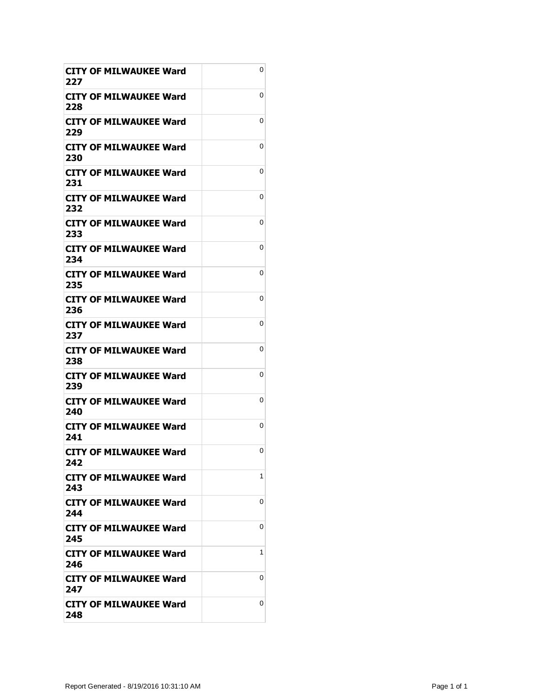| <b>CITY OF MILWAUKEE Ward</b><br>227 | 0 |
|--------------------------------------|---|
| <b>CITY OF MILWAUKEE Ward</b><br>228 | 0 |
| CITY OF MILWAUKEE Ward<br>229        | 0 |
| <b>CITY OF MILWAUKEE Ward</b><br>230 | 0 |
| <b>CITY OF MILWAUKEE Ward</b><br>231 | 0 |
| <b>CITY OF MILWAUKEE Ward</b><br>232 | 0 |
| CITY OF MILWAUKEE Ward<br>233        | 0 |
| <b>CITY OF MILWAUKEE Ward</b><br>234 | 0 |
| CITY OF MILWAUKEE Ward<br>235        | 0 |
| CITY OF MILWAUKEE Ward<br>236        | 0 |
| <b>CITY OF MILWAUKEE Ward</b><br>237 | 0 |
| <b>CITY OF MILWAUKEE Ward</b><br>238 | 0 |
| <b>CITY OF MILWAUKEE Ward</b><br>239 | 0 |
| CITY OF MILWAUKEE Ward<br>240        | 0 |
| <b>CITY OF MILWAUKEE Ward</b><br>241 | 0 |
| <b>CITY OF MILWAUKEE Ward</b><br>242 | 0 |
| CITY OF MILWAUKEE Ward<br>243        | 1 |
| CITY OF MILWAUKEE Ward<br>244        | 0 |
| CITY OF MILWAUKEE Ward<br>245        | 0 |
| <b>CITY OF MILWAUKEE Ward</b><br>246 | 1 |
| CITY OF MILWAUKEE Ward<br>247        | 0 |
| CITY OF MILWAUKEE Ward<br>248        | 0 |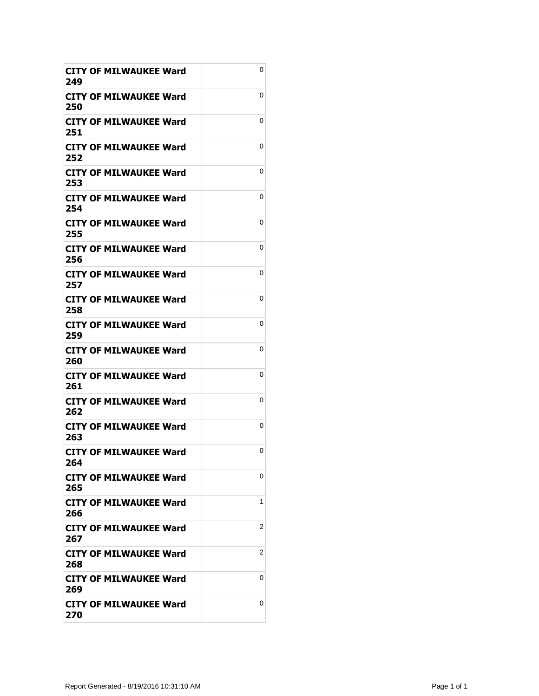| <b>CITY OF MILWAUKEE Ward</b><br>249 | 0 |
|--------------------------------------|---|
| <b>CITY OF MILWAUKEE Ward</b><br>250 | 0 |
| CITY OF MILWAUKEE Ward<br>251        | 0 |
| <b>CITY OF MILWAUKEE Ward</b><br>252 | 0 |
| <b>CITY OF MILWAUKEE Ward</b><br>253 | 0 |
| <b>CITY OF MILWAUKEE Ward</b><br>254 | 0 |
| CITY OF MILWAUKEE Ward<br>255        | 0 |
| <b>CITY OF MILWAUKEE Ward</b><br>256 | 0 |
| <b>CITY OF MILWAUKEE Ward</b><br>257 | 0 |
| CITY OF MILWAUKEE Ward<br>258        | 0 |
| CITY OF MILWAUKEE Ward<br>259        | 0 |
| <b>CITY OF MILWAUKEE Ward</b><br>260 | 0 |
| <b>CITY OF MILWAUKEE Ward</b><br>261 | 0 |
| CITY OF MILWAUKEE Ward<br>262        | 0 |
| <b>CITY OF MILWAUKEE Ward</b><br>263 | 0 |
| <b>CITY OF MILWAUKEE Ward</b><br>264 | 0 |
| <b>CITY OF MILWAUKEE Ward</b><br>265 | 0 |
| CITY OF MILWAUKEE Ward<br>266        | 1 |
| <b>CITY OF MILWAUKEE Ward</b><br>267 | 2 |
| <b>CITY OF MILWAUKEE Ward</b><br>268 | 2 |
| CITY OF MILWAUKEE Ward<br>269        | 0 |
| CITY OF MILWAUKEE Ward<br>270        | 0 |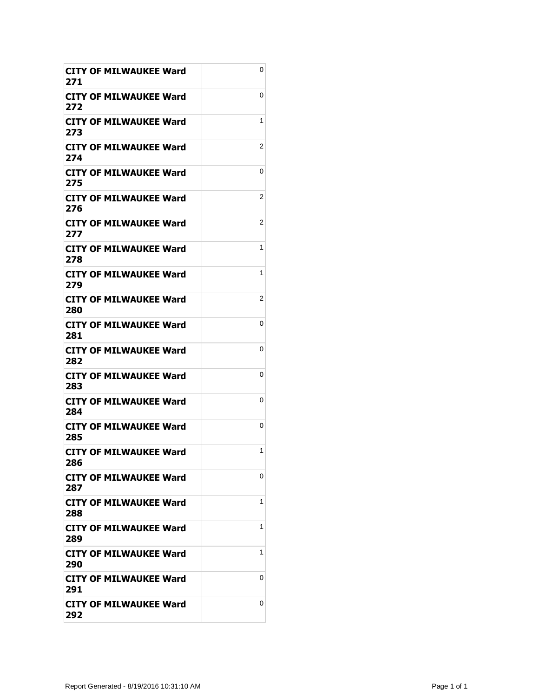| <b>CITY OF MILWAUKEE Ward</b><br>271 | 0 |
|--------------------------------------|---|
| <b>CITY OF MILWAUKEE Ward</b><br>272 | 0 |
| CITY OF MILWAUKEE Ward<br>273        | 1 |
| <b>CITY OF MILWAUKEE Ward</b><br>274 | 2 |
| <b>CITY OF MILWAUKEE Ward</b><br>275 | 0 |
| <b>CITY OF MILWAUKEE Ward</b><br>276 | 2 |
| CITY OF MILWAUKEE Ward<br>277        | 2 |
| <b>CITY OF MILWAUKEE Ward</b><br>278 | 1 |
| <b>CITY OF MILWAUKEE Ward</b><br>279 | 1 |
| CITY OF MILWAUKEE Ward<br>280        | 2 |
| <b>CITY OF MILWAUKEE Ward</b><br>281 | 0 |
| <b>CITY OF MILWAUKEE Ward</b><br>282 | 0 |
| <b>CITY OF MILWAUKEE Ward</b><br>283 | 0 |
| CITY OF MILWAUKEE Ward<br>284        | 0 |
| <b>CITY OF MILWAUKEE Ward</b><br>285 | 0 |
| <b>CITY OF MILWAUKEE Ward</b><br>286 | 1 |
| CITY OF MILWAUKEE Ward<br>287        | 0 |
| CITY OF MILWAUKEE Ward<br>288        | 1 |
| <b>CITY OF MILWAUKEE Ward</b><br>289 | 1 |
| <b>CITY OF MILWAUKEE Ward</b><br>290 | 1 |
| CITY OF MILWAUKEE Ward<br>291        | 0 |
| CITY OF MILWAUKEE Ward<br>292        | 0 |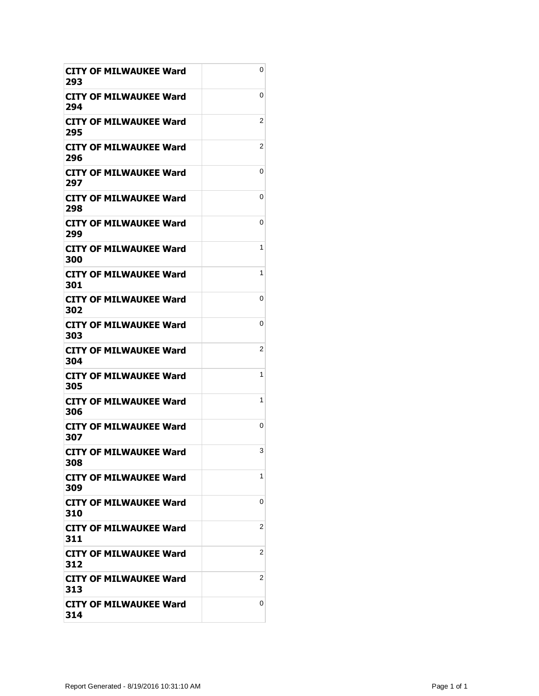| <b>CITY OF MILWAUKEE Ward</b><br>293 | 0 |
|--------------------------------------|---|
| <b>CITY OF MILWAUKEE Ward</b><br>294 | 0 |
| CITY OF MILWAUKEE Ward<br>295        | 2 |
| <b>CITY OF MILWAUKEE Ward</b><br>296 | 2 |
| <b>CITY OF MILWAUKEE Ward</b><br>297 | 0 |
| <b>CITY OF MILWAUKEE Ward</b><br>298 | 0 |
| CITY OF MILWAUKEE Ward<br>299        | 0 |
| <b>CITY OF MILWAUKEE Ward</b><br>300 | 1 |
| <b>CITY OF MILWAUKEE Ward</b><br>301 | 1 |
| <b>CITY OF MILWAUKEE Ward</b><br>302 | 0 |
| <b>CITY OF MILWAUKEE Ward</b><br>303 | 0 |
| <b>CITY OF MILWAUKEE Ward</b><br>304 | 2 |
| <b>CITY OF MILWAUKEE Ward</b><br>305 | 1 |
| CITY OF MILWAUKEE Ward<br>306        | 1 |
| <b>CITY OF MILWAUKEE Ward</b><br>307 | 0 |
| <b>CITY OF MILWAUKEE Ward</b><br>308 | 3 |
| CITY OF MILWAUKEE Ward<br>309        | 1 |
| CITY OF MILWAUKEE Ward<br>310        | 0 |
| CITY OF MILWAUKEE Ward<br>311        | 2 |
| <b>CITY OF MILWAUKEE Ward</b><br>312 | 2 |
| <b>CITY OF MILWAUKEE Ward</b><br>313 | 2 |
| CITY OF MILWAUKEE Ward<br>314        | 0 |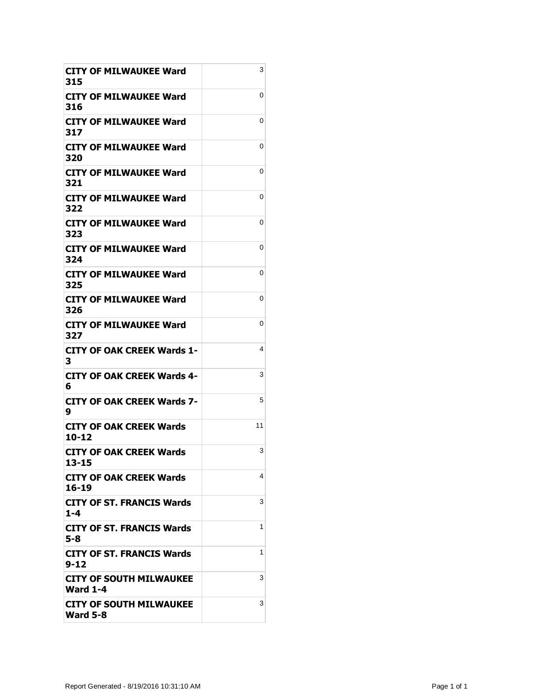| <b>CITY OF MILWAUKEE Ward</b><br>315              | 3  |
|---------------------------------------------------|----|
| <b>CITY OF MILWAUKEE Ward</b><br>316              | 0  |
| CITY OF MILWAUKEE Ward<br>317                     | 0  |
| <b>CITY OF MILWAUKEE Ward</b><br>320              | 0  |
| <b>CITY OF MILWAUKEE Ward</b><br>321              | 0  |
| <b>CITY OF MILWAUKEE Ward</b><br>322              | 0  |
| CITY OF MILWAUKEE Ward<br>323                     | 0  |
| <b>CITY OF MILWAUKEE Ward</b><br>324              | 0  |
| CITY OF MILWAUKEE Ward<br>325                     | 0  |
| CITY OF MILWAUKEE Ward<br>326                     | 0  |
| <b>CITY OF MILWAUKEE Ward</b><br>327              | 0  |
| CITY OF OAK CREEK Wards 1-<br>3                   | 4  |
| <b>CITY OF OAK CREEK Wards 4-</b><br>6            | 3  |
| CITY OF OAK CREEK Wards 7-<br>9                   | 5  |
| <b>CITY OF OAK CREEK Wards</b><br>10-12           | 11 |
| <b>CITY OF OAK CREEK Wards</b><br>13-15           | 3  |
| CITY OF OAK CREEK Wards<br>16-19                  | 4  |
| <b>CITY OF ST. FRANCIS Wards</b><br>1-4           | 3  |
| <b>CITY OF ST. FRANCIS Wards</b><br>5-8           | 1  |
| <b>CITY OF ST. FRANCIS Wards</b><br>$9 - 12$      | 1  |
| CITY OF SOUTH MILWAUKEE<br><b>Ward 1-4</b>        | 3  |
| <b>CITY OF SOUTH MILWAUKEE</b><br><b>Ward 5-8</b> | 3  |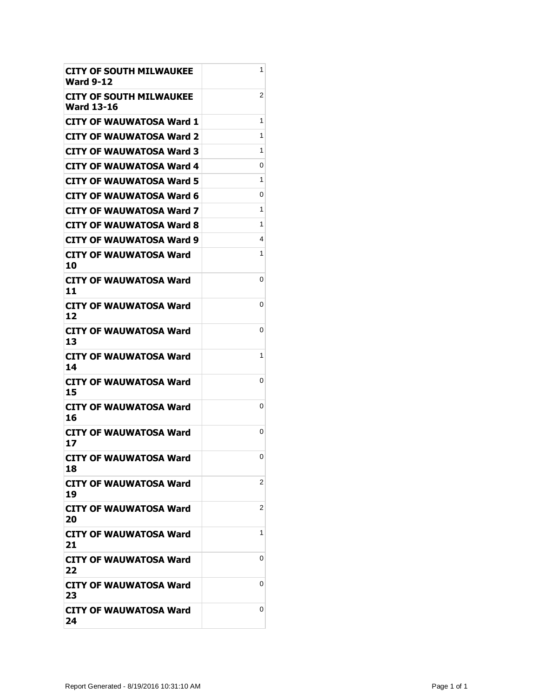| <b>CITY OF SOUTH MILWAUKEE</b><br><b>Ward 9-12</b>  | 1 |
|-----------------------------------------------------|---|
| <b>CITY OF SOUTH MILWAUKEE</b><br><b>Ward 13-16</b> | 2 |
| <b>CITY OF WAUWATOSA Ward 1</b>                     | 1 |
| CITY OF WAUWATOSA Ward 2                            | 1 |
| CITY OF WAUWATOSA Ward 3                            | 1 |
| <b>CITY OF WAUWATOSA Ward 4</b>                     | 0 |
| <b>CITY OF WAUWATOSA Ward 5</b>                     | 1 |
| <b>CITY OF WAUWATOSA Ward 6</b>                     | 0 |
| CITY OF WAUWATOSA Ward 7                            | 1 |
| CITY OF WAUWATOSA Ward 8                            | 1 |
| <b>CITY OF WAUWATOSA Ward 9</b>                     | 4 |
| CITY OF WAUWATOSA Ward<br>10                        | 1 |
| CITY OF WAUWATOSA Ward<br>11                        | 0 |
| <b>CITY OF WAUWATOSA Ward</b><br>12                 | 0 |
| <b>CITY OF WAUWATOSA Ward</b><br>13                 | 0 |
| <b>CITY OF WAUWATOSA Ward</b><br>14                 | 1 |
| <b>CITY OF WAUWATOSA Ward</b><br>15                 | 0 |
| CITY OF WAUWATOSA Ward<br>16                        | 0 |
| CITY OF WAUWATOSA Ward<br>17                        | 0 |
| <b>CITY OF WAUWATOSA Ward</b><br>18                 | 0 |
| CITY OF WAUWATOSA Ward<br>19                        | 2 |
| <b>CITY OF WAUWATOSA Ward</b><br>20                 | 2 |
| CITY OF WAUWATOSA Ward<br>21                        | 1 |
| <b>CITY OF WAUWATOSA Ward</b><br>22                 | 0 |
| <b>CITY OF WAUWATOSA Ward</b><br>23                 | 0 |
| <b>CITY OF WAUWATOSA Ward</b><br>24                 | 0 |